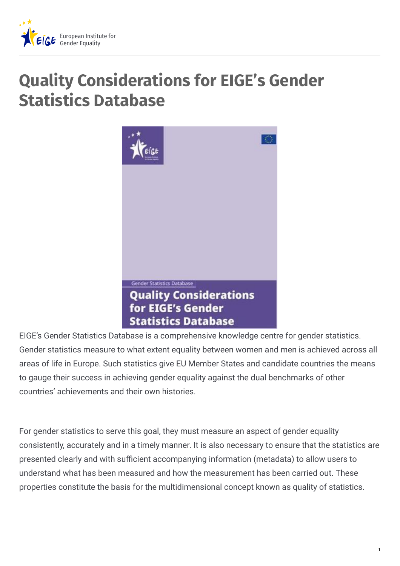

# **Quality Considerations for EIGE's Gender Statistics Database**



EIGE's Gender Statistics Database is a comprehensive knowledge centre for gender statistics. Gender statistics measure to what extent equality between women and men is achieved across all areas of life in Europe. Such statistics give EU Member States and candidate countries the means to gauge their success in achieving gender equality against the dual benchmarks of other countries' achievements and their own histories.

For gender statistics to serve this goal, they must measure an aspect of gender equality consistently, accurately and in a timely manner. It is also necessary to ensure that the statistics are presented clearly and with sufficient accompanying information (metadata) to allow users to understand what has been measured and how the measurement has been carried out. These properties constitute the basis for the multidimensional concept known as quality of statistics.